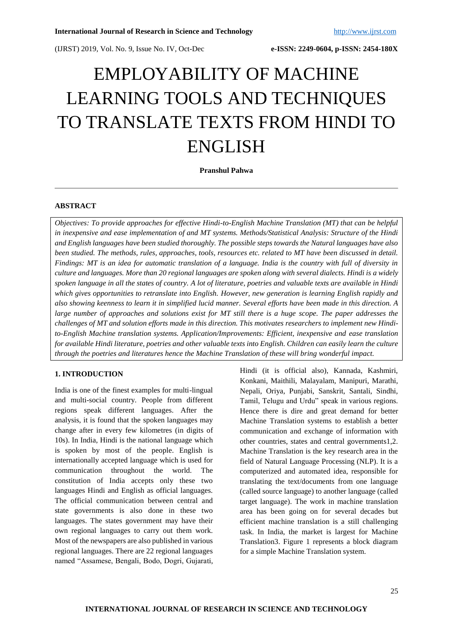# EMPLOYABILITY OF MACHINE LEARNING TOOLS AND TECHNIQUES TO TRANSLATE TEXTS FROM HINDI TO ENGLISH

**Pranshul Pahwa**

# **ABSTRACT**

*Objectives: To provide approaches for effective Hindi-to-English Machine Translation (MT) that can be helpful in inexpensive and ease implementation of and MT systems. Methods/Statistical Analysis: Structure of the Hindi and English languages have been studied thoroughly. The possible steps towards the Natural languages have also been studied. The methods, rules, approaches, tools, resources etc. related to MT have been discussed in detail. Findings: MT is an idea for automatic translation of a language. India is the country with full of diversity in culture and languages. More than 20 regional languages are spoken along with several dialects. Hindi is a widely spoken language in all the states of country. A lot of literature, poetries and valuable texts are available in Hindi which gives opportunities to retranslate into English. However, new generation is learning English rapidly and also showing keenness to learn it in simplified lucid manner. Several efforts have been made in this direction. A large number of approaches and solutions exist for MT still there is a huge scope. The paper addresses the challenges of MT and solution efforts made in this direction. This motivates researchers to implement new Hindito-English Machine translation systems. Application/Improvements: Efficient, inexpensive and ease translation for available Hindi literature, poetries and other valuable texts into English. Children can easily learn the culture through the poetries and literatures hence the Machine Translation of these will bring wonderful impact.*

### **1. INTRODUCTION**

India is one of the finest examples for multi-lingual and multi-social country. People from different regions speak different languages. After the analysis, it is found that the spoken languages may change after in every few kilometres (in digits of 10s). In India, Hindi is the national language which is spoken by most of the people. English is internationally accepted language which is used for communication throughout the world. The constitution of India accepts only these two languages Hindi and English as official languages. The official communication between central and state governments is also done in these two languages. The states government may have their own regional languages to carry out them work. Most of the newspapers are also published in various regional languages. There are 22 regional languages named "Assamese, Bengali, Bodo, Dogri, Gujarati,

Hindi (it is official also), Kannada, Kashmiri, Konkani, Maithili, Malayalam, Manipuri, Marathi, Nepali, Oriya, Punjabi, Sanskrit, Santali, Sindhi, Tamil, Telugu and Urdu" speak in various regions. Hence there is dire and great demand for better Machine Translation systems to establish a better communication and exchange of information with other countries, states and central governments1,2. Machine Translation is the key research area in the field of Natural Language Processing (NLP). It is a computerized and automated idea, responsible for translating the text/documents from one language (called source language) to another language (called target language). The work in machine translation area has been going on for several decades but efficient machine translation is a still challenging task. In India, the market is largest for Machine Translation3. Figure 1 represents a block diagram for a simple Machine Translation system.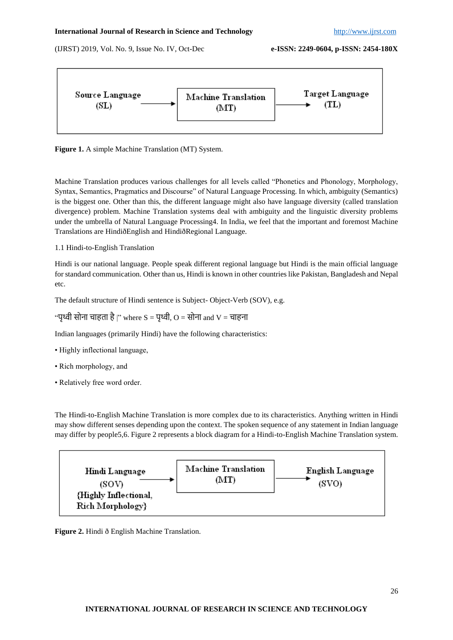# **International Journal of Research in Science and Technology** [http://www.ijrst.com](http://www.ijrst.com/)

(IJRST) 2019, Vol. No. 9, Issue No. IV, Oct-Dec **e-ISSN: 2249-0604, p-ISSN: 2454-180X**



**Figure 1.** A simple Machine Translation (MT) System.

Machine Translation produces various challenges for all levels called "Phonetics and Phonology, Morphology, Syntax, Semantics, Pragmatics and Discourse" of Natural Language Processing. In which, ambiguity (Semantics) is the biggest one. Other than this, the different language might also have language diversity (called translation divergence) problem. Machine Translation systems deal with ambiguity and the linguistic diversity problems under the umbrella of Natural Language Processing4. In India, we feel that the important and foremost Machine Translations are HindiðEnglish and HindiðRegional Language.

1.1 Hindi-to-English Translation

Hindi is our national language. People speak different regional language but Hindi is the main official language for standard communication. Other than us, Hindi is known in other countries like Pakistan, Bangladesh and Nepal etc.

The default structure of Hindi sentence is Subject- Object-Verb (SOV), e.g.

"पृथ्वी सोना चाहता है |" where S = पृथ्वी, O = सोना and V = चाहना

Indian languages (primarily Hindi) have the following characteristics:

- Highly inflectional language,
- Rich morphology, and
- Relatively free word order.

The Hindi-to-English Machine Translation is more complex due to its characteristics. Anything written in Hindi may show different senses depending upon the context. The spoken sequence of any statement in Indian language may differ by people5,6. Figure 2 represents a block diagram for a Hindi-to-English Machine Translation system.

| Hindi Language                                    | <b>Machine Translation</b> | English Language |
|---------------------------------------------------|----------------------------|------------------|
| (SOV)                                             | (MT)                       | (SVO)            |
| {Highly Inflectional,<br><b>Rich Morphology</b> } |                            |                  |

**Figure 2.** Hindi ð English Machine Translation.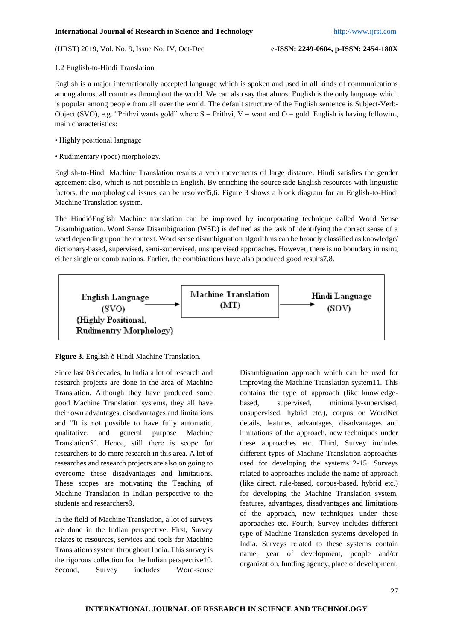# **International Journal of Research in Science and Technology** [http://www.ijrst.com](http://www.ijrst.com/)

(IJRST) 2019, Vol. No. 9, Issue No. IV, Oct-Dec **e-ISSN: 2249-0604, p-ISSN: 2454-180X**

1.2 English-to-Hindi Translation

English is a major internationally accepted language which is spoken and used in all kinds of communications among almost all countries throughout the world. We can also say that almost English is the only language which is popular among people from all over the world. The default structure of the English sentence is Subject-Verb-Object (SVO), e.g. "Prithvi wants gold" where  $S =$  Prithvi,  $V =$  want and  $O =$  gold. English is having following main characteristics:

- Highly positional language
- Rudimentary (poor) morphology.

English-to-Hindi Machine Translation results a verb movements of large distance. Hindi satisfies the gender agreement also, which is not possible in English. By enriching the source side English resources with linguistic factors, the morphological issues can be resolved5,6. Figure 3 shows a block diagram for an English-to-Hindi Machine Translation system.

The HindióEnglish Machine translation can be improved by incorporating technique called Word Sense Disambiguation. Word Sense Disambiguation (WSD) is defined as the task of identifying the correct sense of a word depending upon the context. Word sense disambiguation algorithms can be broadly classified as knowledge/ dictionary-based, supervised, semi-supervised, unsupervised approaches. However, there is no boundary in using either single or combinations. Earlier, the combinations have also produced good results7,8.



# **Figure 3.** English ð Hindi Machine Translation.

Since last 03 decades, In India a lot of research and research projects are done in the area of Machine Translation. Although they have produced some good Machine Translation systems, they all have their own advantages, disadvantages and limitations and "It is not possible to have fully automatic, qualitative, and general purpose Machine Translation5". Hence, still there is scope for researchers to do more research in this area. A lot of researches and research projects are also on going to overcome these disadvantages and limitations. These scopes are motivating the Teaching of Machine Translation in Indian perspective to the students and researchers9.

In the field of Machine Translation, a lot of surveys are done in the Indian perspective. First, Survey relates to resources, services and tools for Machine Translations system throughout India. This survey is the rigorous collection for the Indian perspective10. Second, Survey includes Word-sense Disambiguation approach which can be used for improving the Machine Translation system11. This contains the type of approach (like knowledgebased, supervised, minimally-supervised, unsupervised, hybrid etc.), corpus or WordNet details, features, advantages, disadvantages and limitations of the approach, new techniques under these approaches etc. Third, Survey includes different types of Machine Translation approaches used for developing the systems12-15. Surveys related to approaches include the name of approach (like direct, rule-based, corpus-based, hybrid etc.) for developing the Machine Translation system, features, advantages, disadvantages and limitations of the approach, new techniques under these approaches etc. Fourth, Survey includes different type of Machine Translation systems developed in India. Surveys related to these systems contain name, year of development, people and/or organization, funding agency, place of development,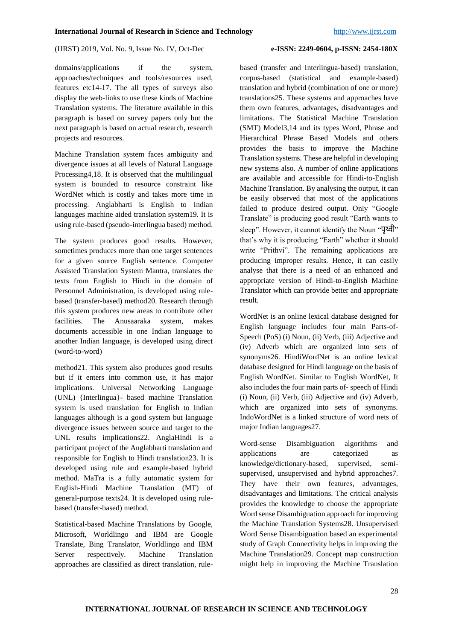domains/applications if the system, approaches/techniques and tools/resources used, features etc14-17. The all types of surveys also display the web-links to use these kinds of Machine Translation systems. The literature available in this paragraph is based on survey papers only but the next paragraph is based on actual research, research projects and resources.

Machine Translation system faces ambiguity and divergence issues at all levels of Natural Language Processing4,18. It is observed that the multilingual system is bounded to resource constraint like WordNet which is costly and takes more time in processing. Anglabharti is English to Indian languages machine aided translation system19. It is using rule-based (pseudo-interlingua based) method.

The system produces good results. However, sometimes produces more than one target sentences for a given source English sentence. Computer Assisted Translation System Mantra, translates the texts from English to Hindi in the domain of Personnel Administration, is developed using rulebased (transfer-based) method20. Research through this system produces new areas to contribute other facilities. The Anusaaraka system, makes documents accessible in one Indian language to another Indian language, is developed using direct (word-to-word)

method21. This system also produces good results but if it enters into common use, it has major implications. Universal Networking Language (UNL) {Interlingua}- based machine Translation system is used translation for English to Indian languages although is a good system but language divergence issues between source and target to the UNL results implications22. AnglaHindi is a participant project of the Anglabharti translation and responsible for English to Hindi translation23. It is developed using rule and example-based hybrid method. MaTra is a fully automatic system for English-Hindi Machine Translation (MT) of general-purpose texts24. It is developed using rulebased (transfer-based) method.

Statistical-based Machine Translations by Google, Microsoft, Worldlingo and IBM are Google Translate, Bing Translator, Worldlingo and IBM Server respectively. Machine Translation approaches are classified as direct translation, rulebased (transfer and Interlingua-based) translation, corpus-based (statistical and example-based) translation and hybrid (combination of one or more) translations25. These systems and approaches have them own features, advantages, disadvantages and limitations. The Statistical Machine Translation (SMT) Model3,14 and its types Word, Phrase and Hierarchical Phrase Based Models and others provides the basis to improve the Machine Translation systems. These are helpful in developing new systems also. A number of online applications are available and accessible for Hindi-to-English Machine Translation. By analysing the output, it can be easily observed that most of the applications failed to produce desired output. Only "Google Translate" is producing good result "Earth wants to sleep". However, it cannot identify the Noun "पृथ्वी" that's why it is producing "Earth" whether it should write "Prithvi". The remaining applications are producing improper results. Hence, it can easily analyse that there is a need of an enhanced and appropriate version of Hindi-to-English Machine Translator which can provide better and appropriate result.

WordNet is an online lexical database designed for English language includes four main Parts-of-Speech (PoS) (i) Noun, (ii) Verb, (iii) Adjective and (iv) Adverb which are organized into sets of synonyms26. HindiWordNet is an online lexical database designed for Hindi language on the basis of English WordNet. Similar to English WordNet, It also includes the four main parts of- speech of Hindi (i) Noun, (ii) Verb, (iii) Adjective and (iv) Adverb, which are organized into sets of synonyms. IndoWordNet is a linked structure of word nets of major Indian languages27.

Word-sense Disambiguation algorithms and applications are categorized as knowledge/dictionary-based, supervised, semisupervised, unsupervised and hybrid approaches7. They have their own features, advantages, disadvantages and limitations. The critical analysis provides the knowledge to choose the appropriate Word sense Disambiguation approach for improving the Machine Translation Systems28. Unsupervised Word Sense Disambiguation based an experimental study of Graph Connectivity helps in improving the Machine Translation29. Concept map construction might help in improving the Machine Translation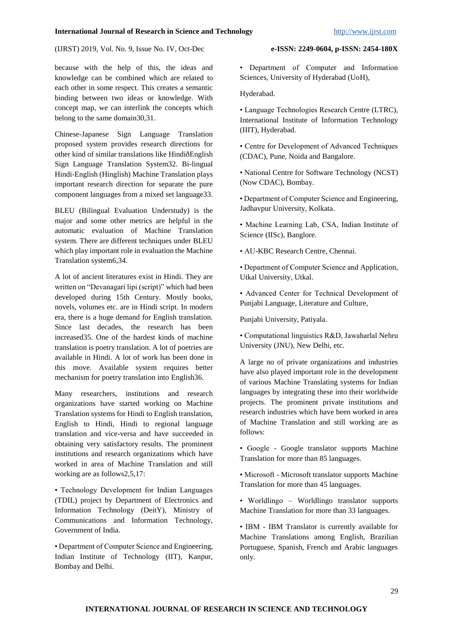because with the help of this, the ideas and knowledge can be combined which are related to each other in some respect. This creates a semantic binding between two ideas or knowledge. With concept map, we can interlink the concepts which belong to the same domain30,31.

Chinese-Japanese Sign Language Translation proposed system provides research directions for other kind of similar translations like HindiðEnglish Sign Language Translation System32. Bi-lingual Hindi-English (Hinglish) Machine Translation plays important research direction for separate the pure component languages from a mixed set language33.

BLEU (Bilingual Evaluation Understudy) is the major and some other metrics are helpful in the automatic evaluation of Machine Translation system. There are different techniques under BLEU which play important role in evaluation the Machine Translation system6,34.

A lot of ancient literatures exist in Hindi. They are written on "Devanagari lipi (script)" which had been developed during 15th Century. Mostly books, novels, volumes etc. are in Hindi script. In modern era, there is a huge demand for English translation. Since last decades, the research has been increased35. One of the hardest kinds of machine translation is poetry translation. A lot of poetries are available in Hindi. A lot of work has been done in this move. Available system requires better mechanism for poetry translation into English36.

Many researchers, institutions and research organizations have started working on Machine Translation systems for Hindi to English translation, English to Hindi, Hindi to regional language translation and vice-versa and have succeeded in obtaining very satisfactory results. The prominent institutions and research organizations which have worked in area of Machine Translation and still working are as follows2,5,17:

• Technology Development for Indian Languages (TDIL) project by Department of Electronics and Information Technology (DeitY), Ministry of Communications and Information Technology, Government of India.

• Department of Computer Science and Engineering, Indian Institute of Technology (IIT), Kanpur, Bombay and Delhi.

• Department of Computer and Information Sciences, University of Hyderabad (UoH),

Hyderabad.

• Language Technologies Research Centre (LTRC), International Institute of Information Technology (IIIT), Hyderabad.

• Centre for Development of Advanced Techniques (CDAC), Pune, Noida and Bangalore.

• National Centre for Software Technology (NCST) (Now CDAC), Bombay.

• Department of Computer Science and Engineering, Jadhavpur University, Kolkata.

• Machine Learning Lab, CSA, Indian Institute of Science (IISc), Banglore.

• AU-KBC Research Centre, Chennai.

• Department of Computer Science and Application, Utkal University, Utkal.

• Advanced Center for Technical Development of Punjabi Language, Literature and Culture,

Punjabi University, Patiyala.

• Computational linguistics R&D, Jawaharlal Nehru University (JNU), New Delhi, etc.

A large no of private organizations and industries have also played important role in the development of various Machine Translating systems for Indian languages by integrating these into their worldwide projects. The prominent private institutions and research industries which have been worked in area of Machine Translation and still working are as follows:

• Google - Google translator supports Machine Translation for more than 85 languages.

• Microsoft - Microsoft translator supports Machine Translation for more than 45 languages.

• Worldlingo – Worldlingo translator supports Machine Translation for more than 33 languages.

• IBM - IBM Translator is currently available for Machine Translations among English, Brazilian Portuguese, Spanish, French and Arabic languages only.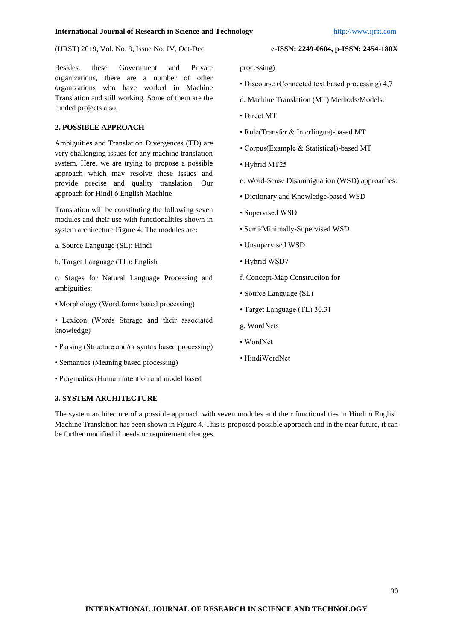# Besides, these Government and Private organizations, there are a number of other organizations who have worked in Machine Translation and still working. Some of them are the funded projects also.

# **2. POSSIBLE APPROACH**

Ambiguities and Translation Divergences (TD) are very challenging issues for any machine translation system. Here, we are trying to propose a possible approach which may resolve these issues and provide precise and quality translation. Our approach for Hindi ó English Machine

Translation will be constituting the following seven modules and their use with functionalities shown in system architecture Figure 4. The modules are:

- a. Source Language (SL): Hindi
- b. Target Language (TL): English

c. Stages for Natural Language Processing and ambiguities:

• Morphology (Word forms based processing)

• Lexicon (Words Storage and their associated knowledge)

- Parsing (Structure and/or syntax based processing)
- Semantics (Meaning based processing)
- Pragmatics (Human intention and model based

# **3. SYSTEM ARCHITECTURE**

The system architecture of a possible approach with seven modules and their functionalities in Hindi ó English Machine Translation has been shown in Figure 4. This is proposed possible approach and in the near future, it can be further modified if needs or requirement changes.

processing)

- Discourse (Connected text based processing) 4,7
- d. Machine Translation (MT) Methods/Models:
- Direct MT
- Rule(Transfer & Interlingua)-based MT
- Corpus(Example & Statistical)-based MT
- Hybrid MT25
- e. Word-Sense Disambiguation (WSD) approaches:
- Dictionary and Knowledge-based WSD
- Supervised WSD
- Semi/Minimally-Supervised WSD
- Unsupervised WSD
- Hybrid WSD7
- f. Concept-Map Construction for
- Source Language (SL)
- Target Language (TL) 30,31
- g. WordNets
- WordNet
- HindiWordNet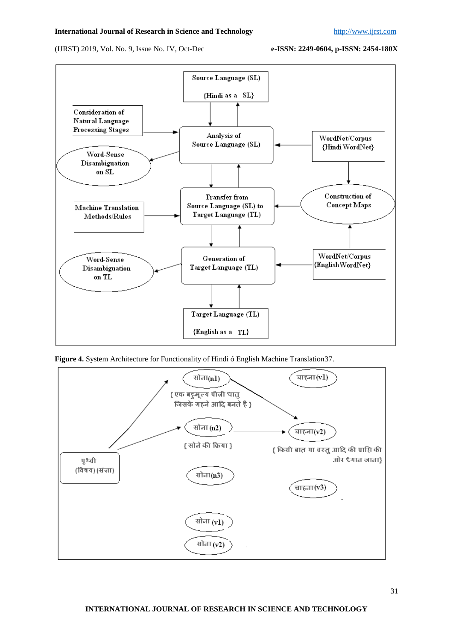



**Figure 4.** System Architecture for Functionality of Hindi ó English Machine Translation37.